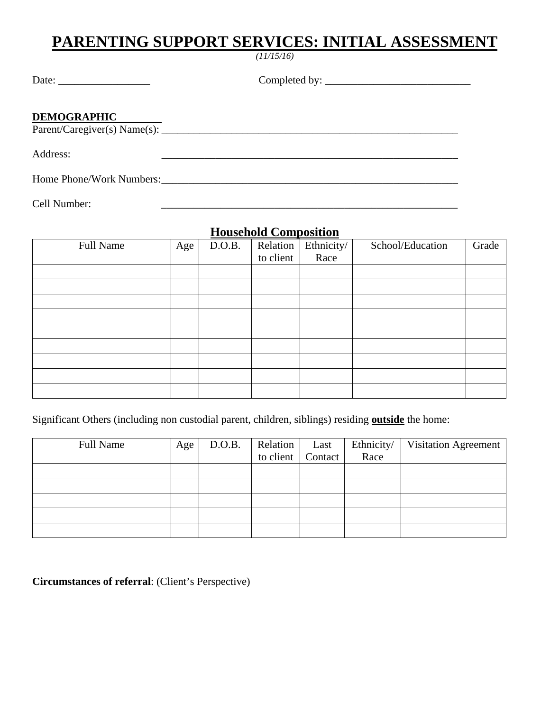# **PARENTING SUPPORT SERVICES: INITIAL ASSESSMENT**

*(11/15/16)* 

| Date: |  |  |
|-------|--|--|
|       |  |  |

 $Complete d by: \_\_$ 

#### **DEMOGRAPHIC**

 $\frac{222.118 \times 22.014 \times 12.01}{\text{Parent/Caregiver(s) Name(s)}}$ 

Address:

Home Phone/Work Numbers:

Cell Number: \_\_\_\_\_\_\_\_\_\_\_\_\_\_\_\_\_\_\_\_\_\_\_\_\_\_\_\_\_\_\_\_\_\_\_\_\_\_\_\_\_\_\_\_\_\_\_\_\_\_\_\_\_\_\_

#### **Household Composition**

| <b>Full Name</b> | Age | D.O.B. | Relation<br>to client | Ethnicity/<br>Race | School/Education | Grade |
|------------------|-----|--------|-----------------------|--------------------|------------------|-------|
|                  |     |        |                       |                    |                  |       |
|                  |     |        |                       |                    |                  |       |
|                  |     |        |                       |                    |                  |       |
|                  |     |        |                       |                    |                  |       |
|                  |     |        |                       |                    |                  |       |
|                  |     |        |                       |                    |                  |       |
|                  |     |        |                       |                    |                  |       |
|                  |     |        |                       |                    |                  |       |
|                  |     |        |                       |                    |                  |       |

Significant Others (including non custodial parent, children, siblings) residing **outside** the home:

| Full Name | Age | D.O.B. | Relation | Last              | Ethnicity/ | Visitation Agreement |
|-----------|-----|--------|----------|-------------------|------------|----------------------|
|           |     |        |          | to client Contact | Race       |                      |
|           |     |        |          |                   |            |                      |
|           |     |        |          |                   |            |                      |
|           |     |        |          |                   |            |                      |
|           |     |        |          |                   |            |                      |
|           |     |        |          |                   |            |                      |

**Circumstances of referral**: (Client's Perspective)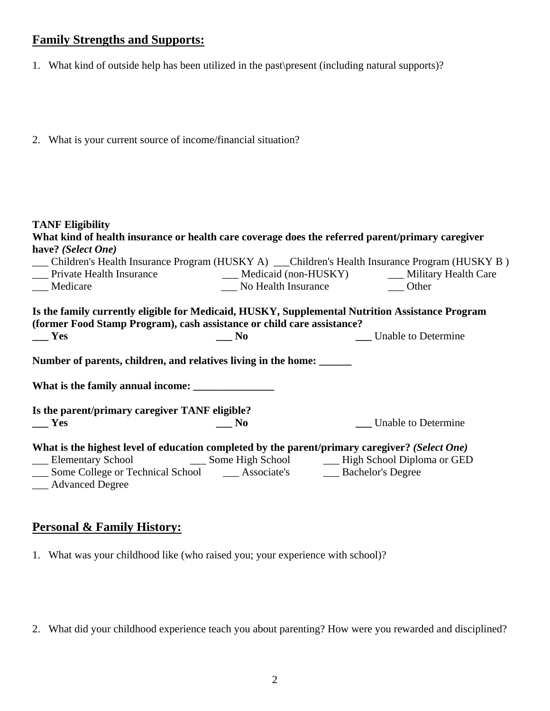### **Family Strengths and Supports:**

- 1. What kind of outside help has been utilized in the past\present (including natural supports)?
- 2. What is your current source of income/financial situation?

| <b>TANF Eligibility</b>                                                                       |                |                                                                                                   |
|-----------------------------------------------------------------------------------------------|----------------|---------------------------------------------------------------------------------------------------|
|                                                                                               |                | What kind of health insurance or health care coverage does the referred parent/primary caregiver  |
| have? (Select One)                                                                            |                |                                                                                                   |
|                                                                                               |                | __ Children's Health Insurance Program (HUSKY A) __ Children's Health Insurance Program (HUSKY B) |
|                                                                                               |                |                                                                                                   |
| __ Medicare                                                                                   |                | No Health Insurance Delher                                                                        |
|                                                                                               |                | Is the family currently eligible for Medicaid, HUSKY, Supplemental Nutrition Assistance Program   |
| (former Food Stamp Program), cash assistance or child care assistance?                        |                |                                                                                                   |
| $\mathbf{Yes}$                                                                                | $\mathbf{N}$ o | Unable to Determine                                                                               |
| Number of parents, children, and relatives living in the home:                                |                |                                                                                                   |
|                                                                                               |                |                                                                                                   |
| Is the parent/primary caregiver TANF eligible?                                                |                |                                                                                                   |
| <b>Yes</b>                                                                                    | $\_\_$ No      | Unable to Determine                                                                               |
|                                                                                               |                | What is the highest level of education completed by the parent/primary caregiver? (Select One)    |
|                                                                                               |                |                                                                                                   |
| __ Some College or Technical School __ Associate's __ Bachelor's Degree<br>__ Advanced Degree |                |                                                                                                   |

#### **Personal & Family History:**

1. What was your childhood like (who raised you; your experience with school)?

2. What did your childhood experience teach you about parenting? How were you rewarded and disciplined?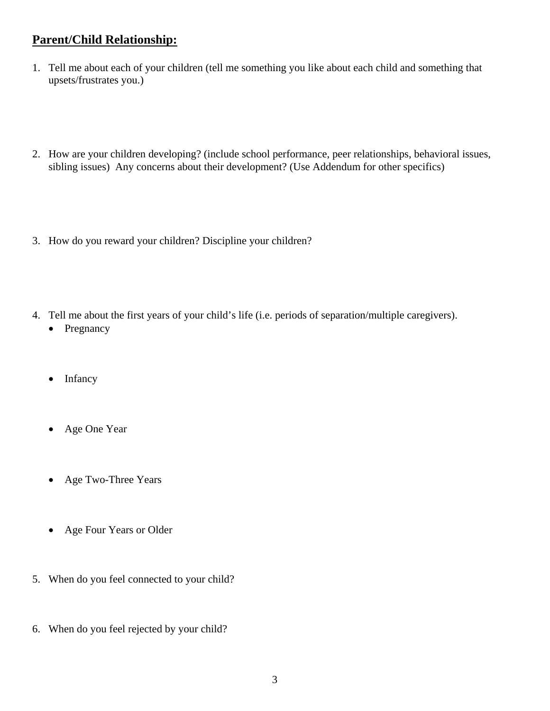### **Parent/Child Relationship:**

- 1. Tell me about each of your children (tell me something you like about each child and something that upsets/frustrates you.)
- 2. How are your children developing? (include school performance, peer relationships, behavioral issues, sibling issues) Any concerns about their development? (Use Addendum for other specifics)
- 3. How do you reward your children? Discipline your children?
- 4. Tell me about the first years of your child's life (i.e. periods of separation/multiple caregivers).
	- Pregnancy
	- Infancy
	- Age One Year
	- Age Two-Three Years
	- Age Four Years or Older
- 5. When do you feel connected to your child?
- 6. When do you feel rejected by your child?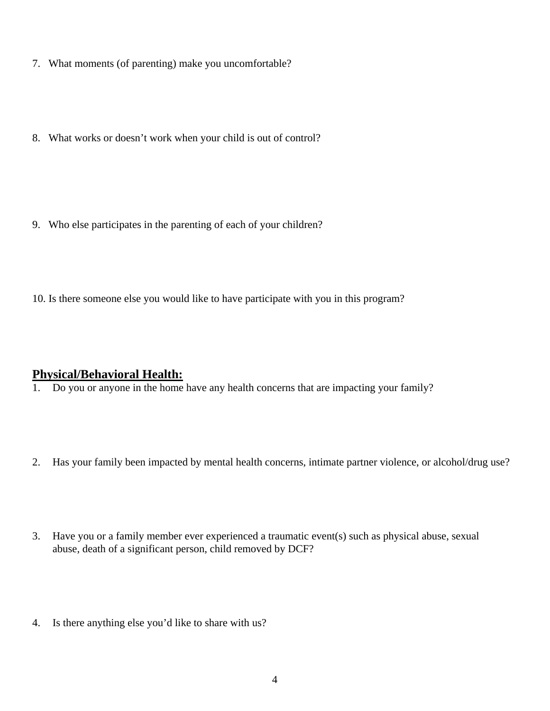- 7. What moments (of parenting) make you uncomfortable?
- 8. What works or doesn't work when your child is out of control?

- 9. Who else participates in the parenting of each of your children?
- 10. Is there someone else you would like to have participate with you in this program?

# **Physical/Behavioral Health:**

- 1. Do you or anyone in the home have any health concerns that are impacting your family?
- 2. Has your family been impacted by mental health concerns, intimate partner violence, or alcohol/drug use?
- 3. Have you or a family member ever experienced a traumatic event(s) such as physical abuse, sexual abuse, death of a significant person, child removed by DCF?
- 4. Is there anything else you'd like to share with us?